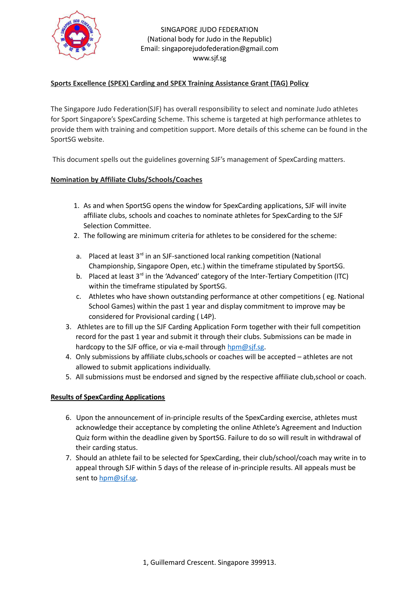

### SINGAPORE JUDO FEDERATION (National body for Judo in the Republic) Email: singaporejudofederation@gmail.com www.sjf.sg

# **Sports Excellence (SPEX) Carding and SPEX Training Assistance Grant (TAG) Policy**

The Singapore Judo Federation(SJF) has overall responsibility to select and nominate Judo athletes for Sport Singapore's SpexCarding Scheme. This scheme is targeted at high performance athletes to provide them with training and competition support. More details of this scheme can be found in the SportSG website.

This document spells out the guidelines governing SJF's management of SpexCarding matters.

# **Nomination by Affiliate Clubs/Schools/Coaches**

- 1. As and when SportSG opens the window for SpexCarding applications, SJF will invite affiliate clubs, schools and coaches to nominate athletes for SpexCarding to the SJF Selection Committee.
- 2. The following are minimum criteria for athletes to be considered for the scheme:
- a. Placed at least  $3^{rd}$  in an SJF-sanctioned local ranking competition (National Championship, Singapore Open, etc.) within the timeframe stipulated by SportSG.
- b. Placed at least  $3<sup>rd</sup>$  in the 'Advanced' category of the Inter-Tertiary Competition (ITC) within the timeframe stipulated by SportSG.
- c. Athletes who have shown outstanding performance at other competitions ( eg. National School Games) within the past 1 year and display commitment to improve may be considered for Provisional carding ( L4P).
- 3. Athletes are to fill up the SJF Carding Application Form together with their full competition record for the past 1 year and submit it through their clubs. Submissions can be made in hardcopy to the SJF office, or via e-mail through  $hpm@s$  if.sg.
- 4. Only submissions by affiliate clubs,schools or coaches will be accepted athletes are not allowed to submit applications individually.
- 5. All submissions must be endorsed and signed by the respective affiliate club,school or coach.

# **Results of SpexCarding Applications**

- 6. Upon the announcement of in-principle results of the SpexCarding exercise, athletes must acknowledge their acceptance by completing the online Athlete's Agreement and Induction Quiz form within the deadline given by SportSG. Failure to do so will result in withdrawal of their carding status.
- 7. Should an athlete fail to be selected for SpexCarding, their club/school/coach may write in to appeal through SJF within 5 days of the release of in-principle results. All appeals must be sent to [hpm@sjf.sg.](mailto:hpm@sjf.sg)